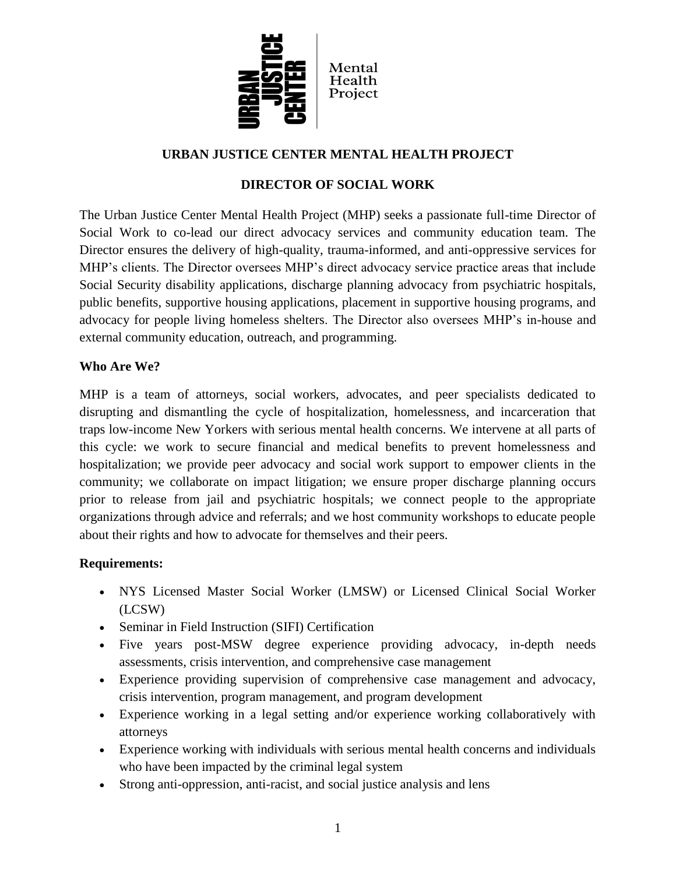

## **URBAN JUSTICE CENTER MENTAL HEALTH PROJECT**

#### **DIRECTOR OF SOCIAL WORK**

The Urban Justice Center Mental Health Project (MHP) seeks a passionate full-time Director of Social Work to co-lead our direct advocacy services and community education team. The Director ensures the delivery of high-quality, trauma-informed, and anti-oppressive services for MHP's clients. The Director oversees MHP's direct advocacy service practice areas that include Social Security disability applications, discharge planning advocacy from psychiatric hospitals, public benefits, supportive housing applications, placement in supportive housing programs, and advocacy for people living homeless shelters. The Director also oversees MHP's in-house and external community education, outreach, and programming.

#### **Who Are We?**

MHP is a team of attorneys, social workers, advocates, and peer specialists dedicated to disrupting and dismantling the cycle of hospitalization, homelessness, and incarceration that traps low-income New Yorkers with serious mental health concerns. We intervene at all parts of this cycle: we work to secure financial and medical benefits to prevent homelessness and hospitalization; we provide peer advocacy and social work support to empower clients in the community; we collaborate on impact litigation; we ensure proper discharge planning occurs prior to release from jail and psychiatric hospitals; we connect people to the appropriate organizations through advice and referrals; and we host community workshops to educate people about their rights and how to advocate for themselves and their peers.

#### **Requirements:**

- NYS Licensed Master Social Worker (LMSW) or Licensed Clinical Social Worker (LCSW)
- Seminar in Field Instruction (SIFI) Certification
- Five years post-MSW degree experience providing advocacy, in-depth needs assessments, crisis intervention, and comprehensive case management
- Experience providing supervision of comprehensive case management and advocacy, crisis intervention, program management, and program development
- Experience working in a legal setting and/or experience working collaboratively with attorneys
- Experience working with individuals with serious mental health concerns and individuals who have been impacted by the criminal legal system
- Strong anti-oppression, anti-racist, and social justice analysis and lens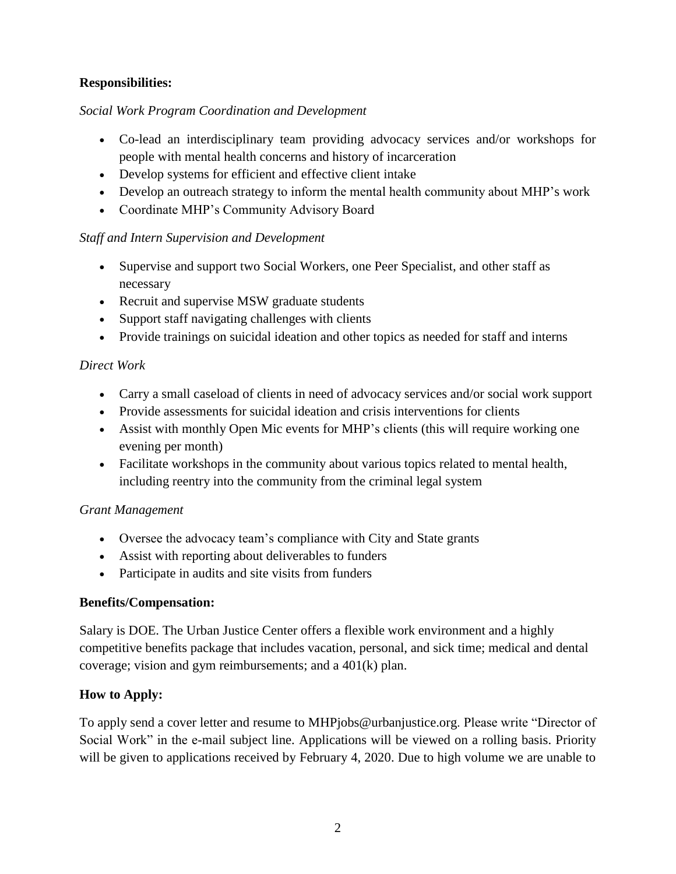## **Responsibilities:**

### *Social Work Program Coordination and Development*

- Co-lead an interdisciplinary team providing advocacy services and/or workshops for people with mental health concerns and history of incarceration
- Develop systems for efficient and effective client intake
- Develop an outreach strategy to inform the mental health community about MHP's work
- Coordinate MHP's Community Advisory Board

# *Staff and Intern Supervision and Development*

- Supervise and support two Social Workers, one Peer Specialist, and other staff as necessary
- Recruit and supervise MSW graduate students
- Support staff navigating challenges with clients
- Provide trainings on suicidal ideation and other topics as needed for staff and interns

# *Direct Work*

- Carry a small caseload of clients in need of advocacy services and/or social work support
- Provide assessments for suicidal ideation and crisis interventions for clients
- Assist with monthly Open Mic events for MHP's clients (this will require working one evening per month)
- Facilitate workshops in the community about various topics related to mental health, including reentry into the community from the criminal legal system

#### *Grant Management*

- Oversee the advocacy team's compliance with City and State grants
- Assist with reporting about deliverables to funders
- Participate in audits and site visits from funders

#### **Benefits/Compensation:**

Salary is DOE. The Urban Justice Center offers a flexible work environment and a highly competitive benefits package that includes vacation, personal, and sick time; medical and dental coverage; vision and gym reimbursements; and a 401(k) plan.

# **How to Apply:**

To apply send a cover letter and resume to MHPjobs@urbanjustice.org. Please write "Director of Social Work" in the e-mail subject line. Applications will be viewed on a rolling basis. Priority will be given to applications received by February 4, 2020. Due to high volume we are unable to